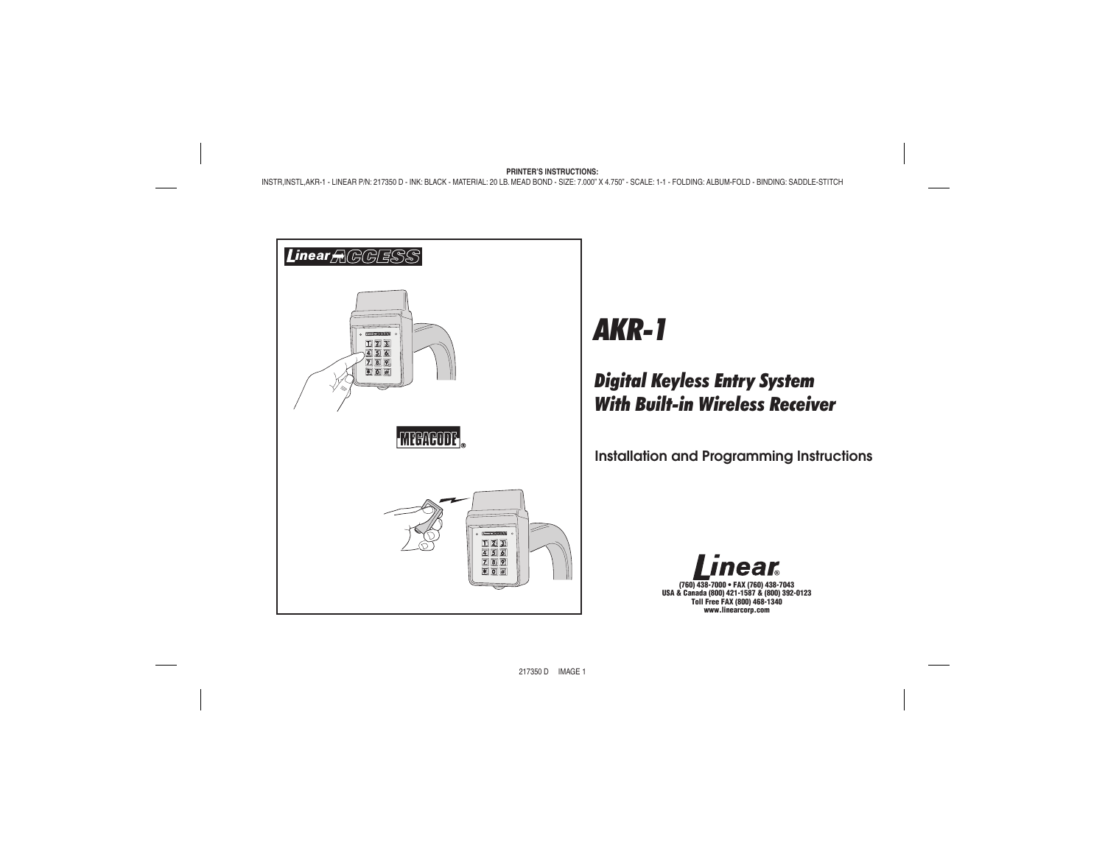

# *AKR-1*

# *Digital Keyless Entry System With Built-in Wireless Receiver*

**Installation and Programming Instructions**

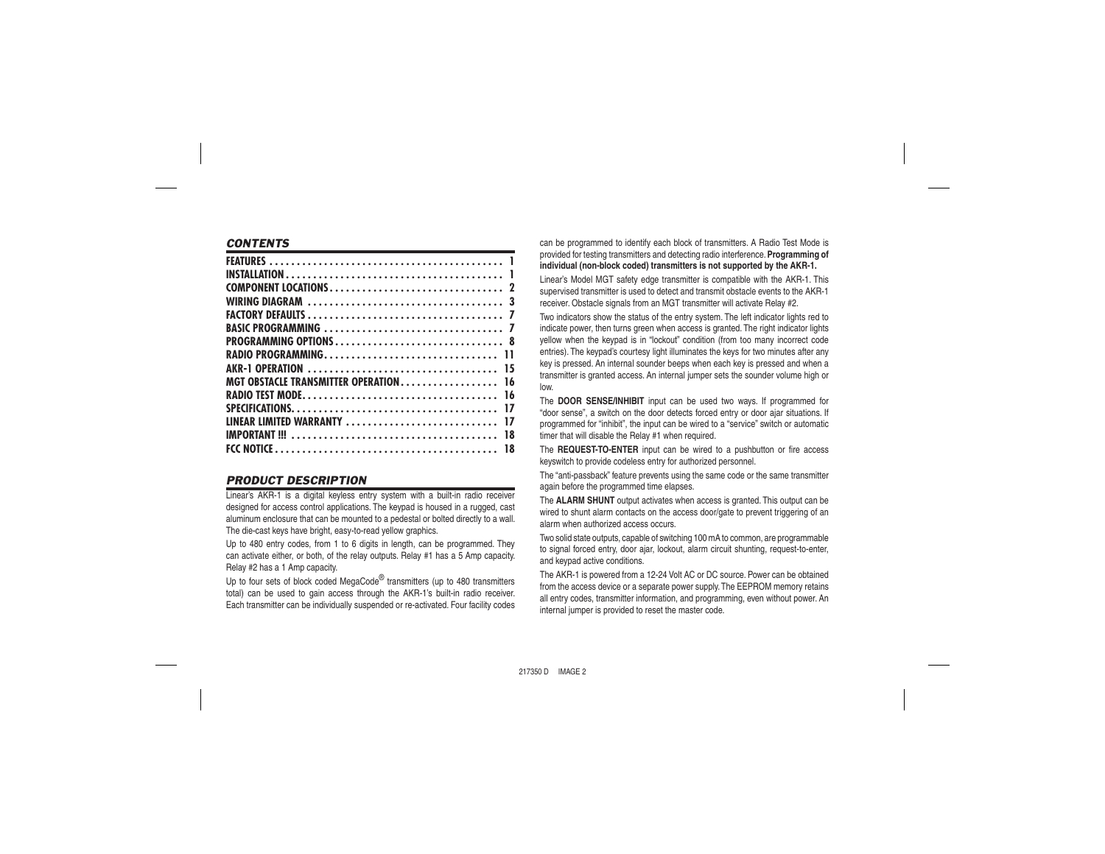# *CONTENTS*

| AKR-1 OPERATION                           | 15 |
|-------------------------------------------|----|
| <b>MGT OBSTACLE TRANSMITTER OPERATION</b> | 16 |
|                                           | 16 |
|                                           | 17 |
| LINEAR LIMITED WARRANTY                   | 17 |
|                                           | 18 |
|                                           |    |
|                                           |    |

# *PRODUCT DESCRIPTION*

Linear's AKR-1 is a digital keyless entry system with a built-in radio receiver designed for access control applications. The keypad is housed in a rugged, cast aluminum enclosure that can be mounted to a pedestal or bolted directly to a wall. The die-cast keys have bright, easy-to-read yellow graphics.

Up to 480 entry codes, from 1 to 6 digits in length, can be programmed. They can activate either, or both, of the relay outputs. Relay #1 has a 5 Amp capacity. Relay #2 has a 1 Amp capacity.

Up to four sets of block coded MegaCode<sup>®</sup> transmitters (up to 480 transmitters total) can be used to gain access through the AKR-1's built-in radio receiver. Each transmitter can be individually suspended or re-activated. Four facility codes

can be programmed to identify each block of transmitters. A Radio Test Mode is provided for testing transmitters and detecting radio interference. **Programming of individual (non-block coded) transmitters is not supported by the AKR-1.**

Linear's Model MGT safety edge transmitter is compatible with the AKR-1. This supervised transmitter is used to detect and transmit obstacle events to the AKR-1 receiver. Obstacle signals from an MGT transmitter will activate Relay #2.

Two indicators show the status of the entry system. The left indicator lights red to indicate power, then turns green when access is granted. The right indicator lights yellow when the keypad is in "lockout" condition (from too many incorrect code entries). The keypad's courtesy light illuminates the keys for two minutes after any key is pressed. An internal sounder beeps when each key is pressed and when a transmitter is granted access. An internal jumper sets the sounder volume high or low.

The **DOOR SENSE/INHIBIT** input can be used two ways. If programmed for "door sense", a switch on the door detects forced entry or door ajar situations. If programmed for "inhibit", the input can be wired to a "service" switch or automatic timer that will disable the Relay #1 when required.

The **REQUEST-TO-ENTER** input can be wired to a pushbutton or fire access keyswitch to provide codeless entry for authorized personnel.

The "anti-passback" feature prevents using the same code or the same transmitter again before the programmed time elapses.

The **ALARM SHUNT** output activates when access is granted. This output can be wired to shunt alarm contacts on the access door/gate to prevent triggering of an alarm when authorized access occurs.

Two solid state outputs, capable of switching 100 mA to common, are programmable to signal forced entry, door ajar, lockout, alarm circuit shunting, request-to-enter, and keypad active conditions.

The AKR-1 is powered from a 12-24 Volt AC or DC source. Power can be obtained from the access device or a separate power supply. The EEPROM memory retains all entry codes, transmitter information, and programming, even without power. An internal jumper is provided to reset the master code.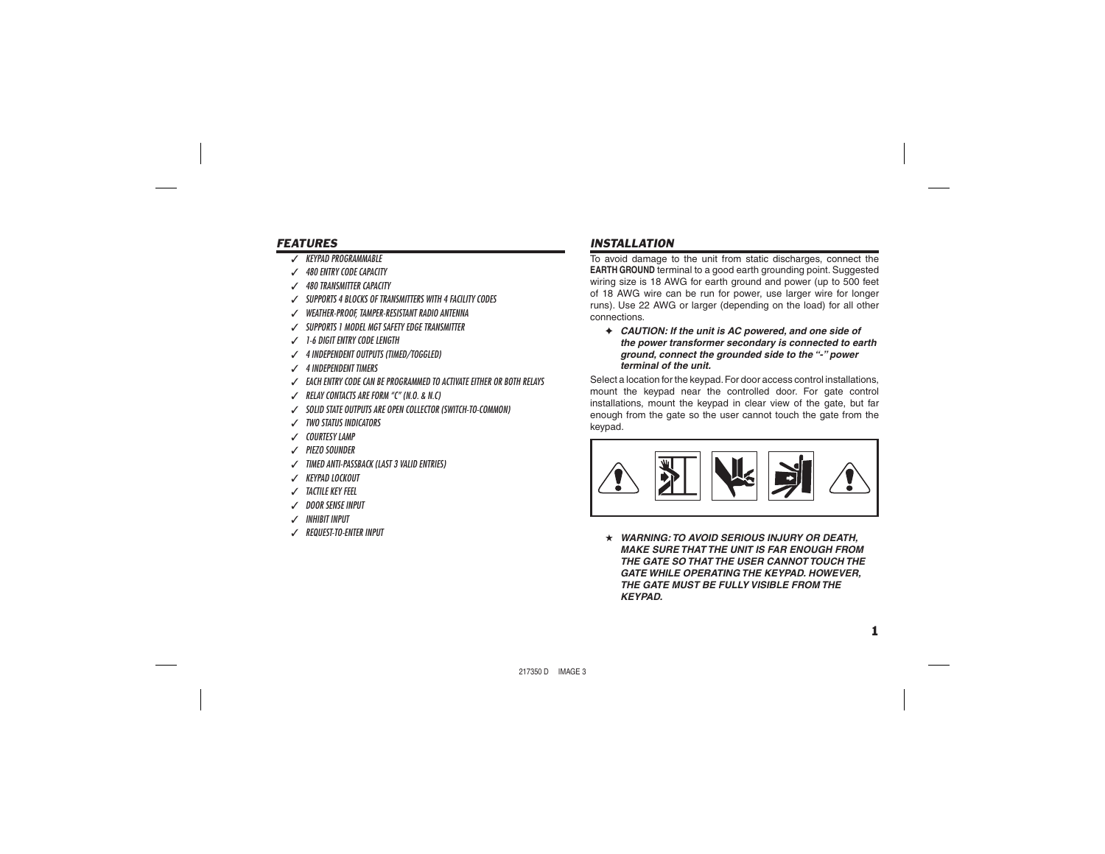# *FEATURES*

- ✓ *KEYPAD PROGRAMMABLE*
- ✓ *480 ENTRY CODE CAPACITY*
- ✓ *480 TRANSMITTER CAPACITY*
- ✓ *SUPPORTS 4 BLOCKS OF TRANSMITTERS WITH 4 FACILITY CODES*
- ✓ *WEATHER-PROOF, TAMPER-RESISTANT RADIO ANTENNA*
- ✓ *SUPPORTS 1 MODEL MGT SAFETY EDGE TRANSMITTER*
- ✓ *1-6 DIGIT ENTRY CODE LENGTH*
- ✓ *4 INDEPENDENT OUTPUTS (TIMED/TOGGLED)*
- ✓ *4 INDEPENDENT TIMERS*
- ✓ *EACH ENTRY CODE CAN BE PROGRAMMED TO ACTIVATE EITHER OR BOTH RELAYS*
- ✓ *RELAY CONTACTS ARE FORM "C" (N.O. & N.C)*
- ✓ *SOLID STATE OUTPUTS ARE OPEN COLLECTOR (SWITCH-TO-COMMON)*
- ✓ *TWO STATUS INDICATORS*
- ✓ *COURTESY LAMP*
- ✓ *PIEZO SOUNDER*
- ✓ *TIMED ANTI-PASSBACK (LAST 3 VALID ENTRIES)*
- ✓ *KEYPAD LOCKOUT*
- ✓ *TACTILE KEY FEEL*
- ✓ *DOOR SENSE INPUT*
- ✓ *INHIBIT INPUT*
- ✓ *REQUEST-TO-ENTER INPUT*

# *INSTALLATION*

To avoid damage to the unit from static discharges, connect the **EARTH GROUND** terminal to a good earth grounding point. Suggested wiring size is 18 AWG for earth ground and power (up to 500 feet of 18 AWG wire can be run for power, use larger wire for longer runs). Use 22 AWG or larger (depending on the load) for all other connections.

✦ *CAUTION: If the unit is AC powered, and one side of the power transformer secondary is connected to earth ground, connect the grounded side to the "-" power terminal of the unit.*

Select a location for the keypad. For door access control installations, mount the keypad near the controlled door. For gate control installations, mount the keypad in clear view of the gate, but far enough from the gate so the user cannot touch the gate from the keypad.



★ *WARNING: TO AVOID SERIOUS INJURY OR DEATH, MAKE SURE THAT THE UNIT IS FAR ENOUGH FROM THE GATE SO THAT THE USER CANNOT TOUCH THE GATE WHILE OPERATING THE KEYPAD. HOWEVER, THE GATE MUST BE FULLY VISIBLE FROM THE KEYPAD.*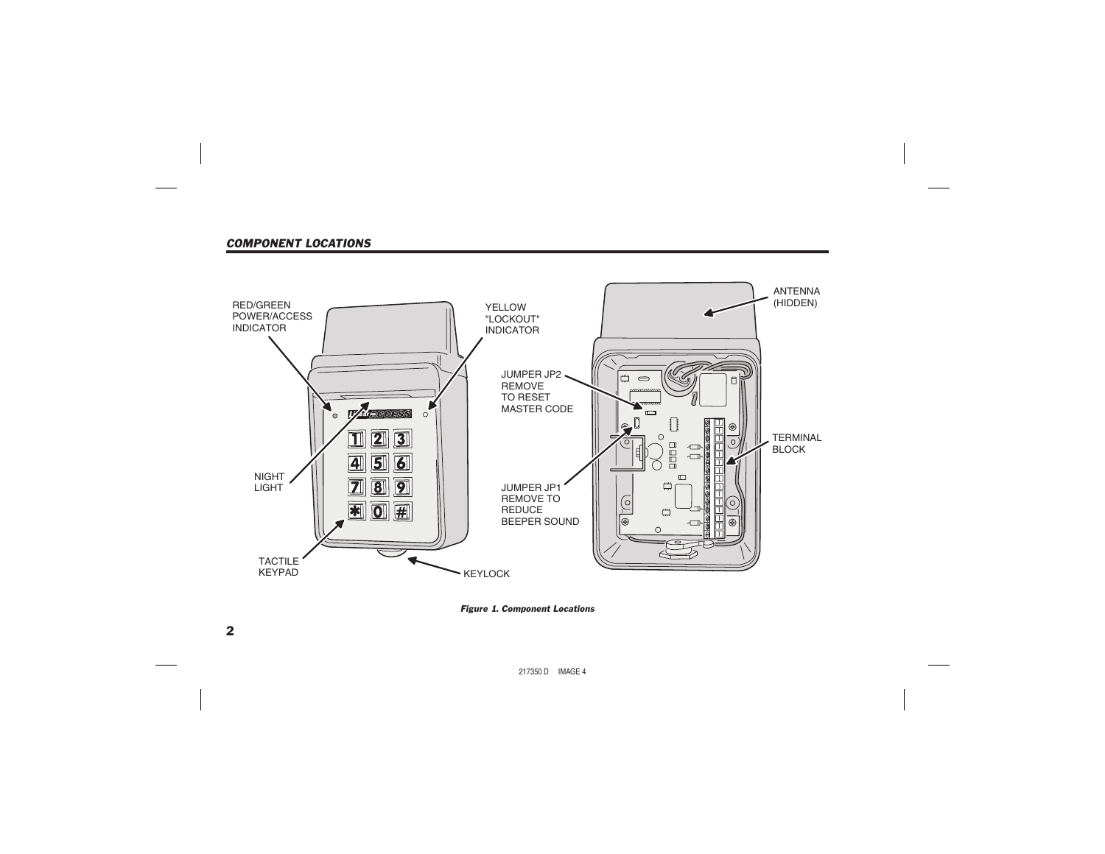# *COMPONENT LOCATIONS*



*Figure 1. Component Locations*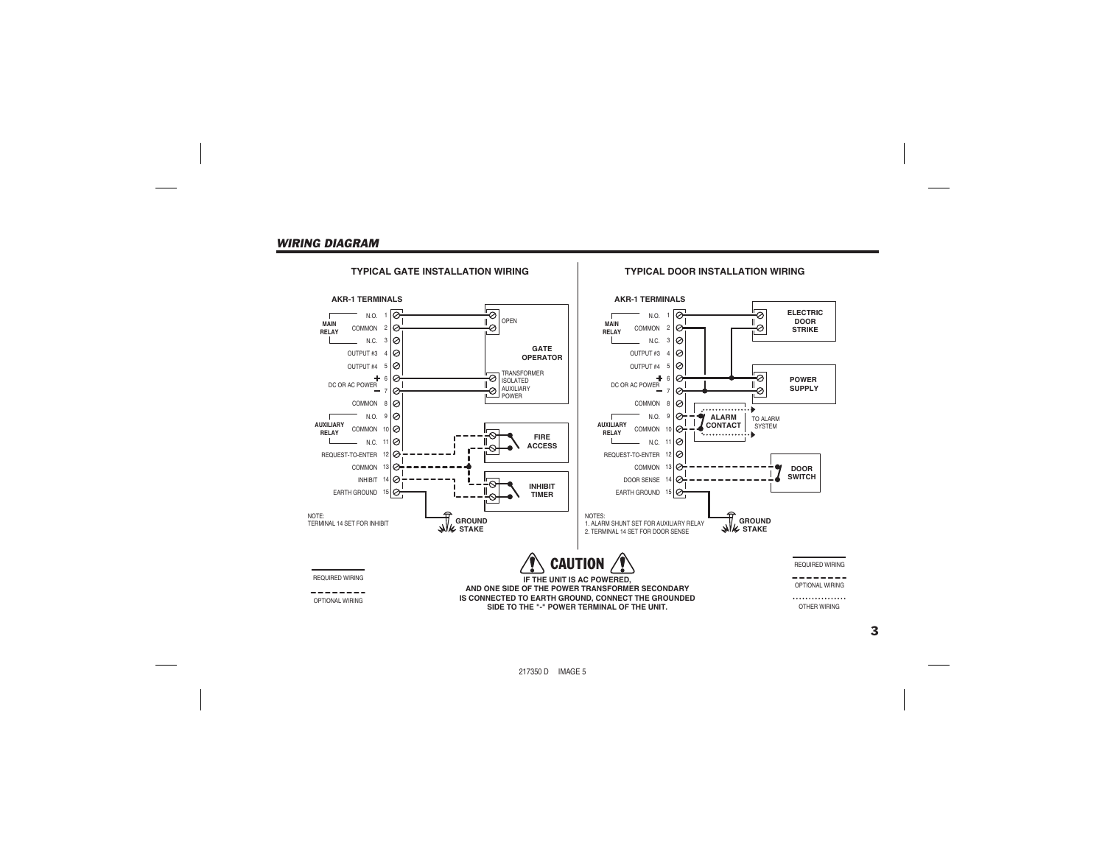#### *WIRING DIAGRAM*

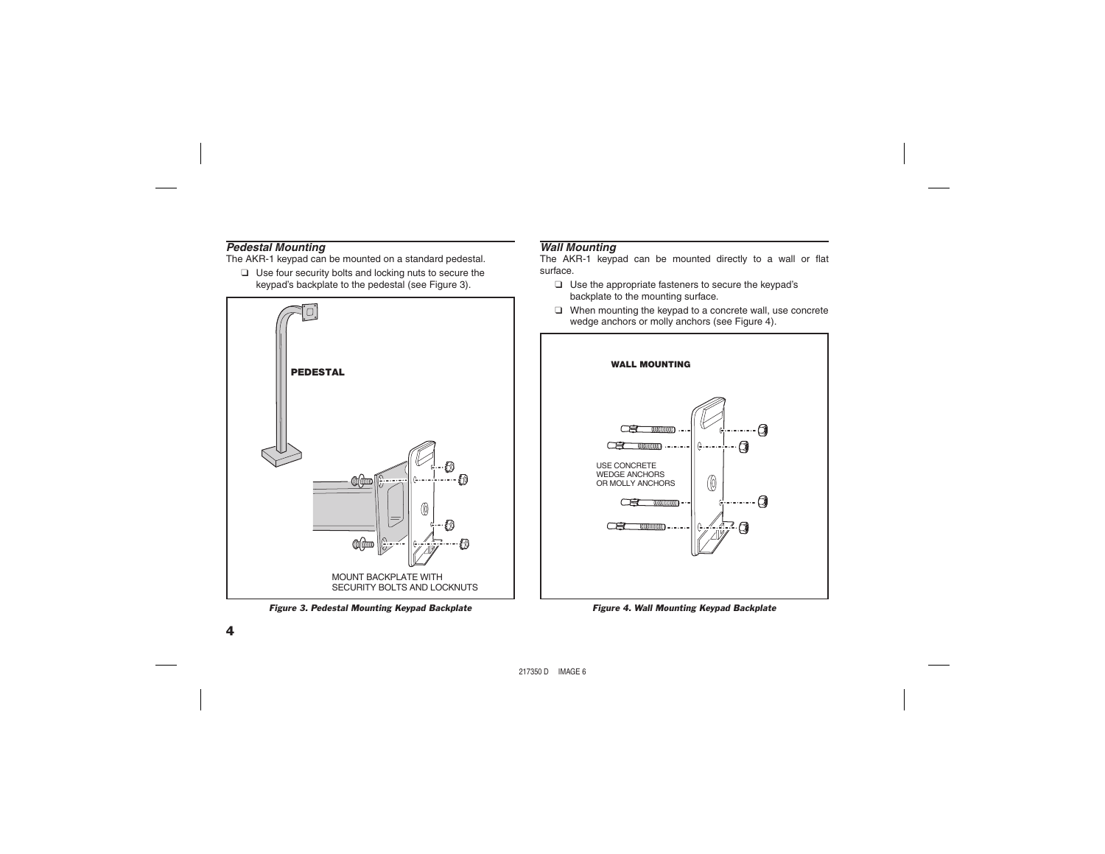# *Pedestal Mounting*

The AKR-1 keypad can be mounted on a standard pedestal.

❑ Use four security bolts and locking nuts to secure the keypad's backplate to the pedestal (see Figure 3).



*Figure 3. Pedestal Mounting Keypad Backplate Figure 4. Wall Mounting Keypad Backplate*

# *Wall Mounting*

The AKR-1 keypad can be mounted directly to a wall or flat surface.

- ❑ Use the appropriate fasteners to secure the keypad's backplate to the mounting surface.
- ❑ When mounting the keypad to a concrete wall, use concrete wedge anchors or molly anchors (see Figure 4).

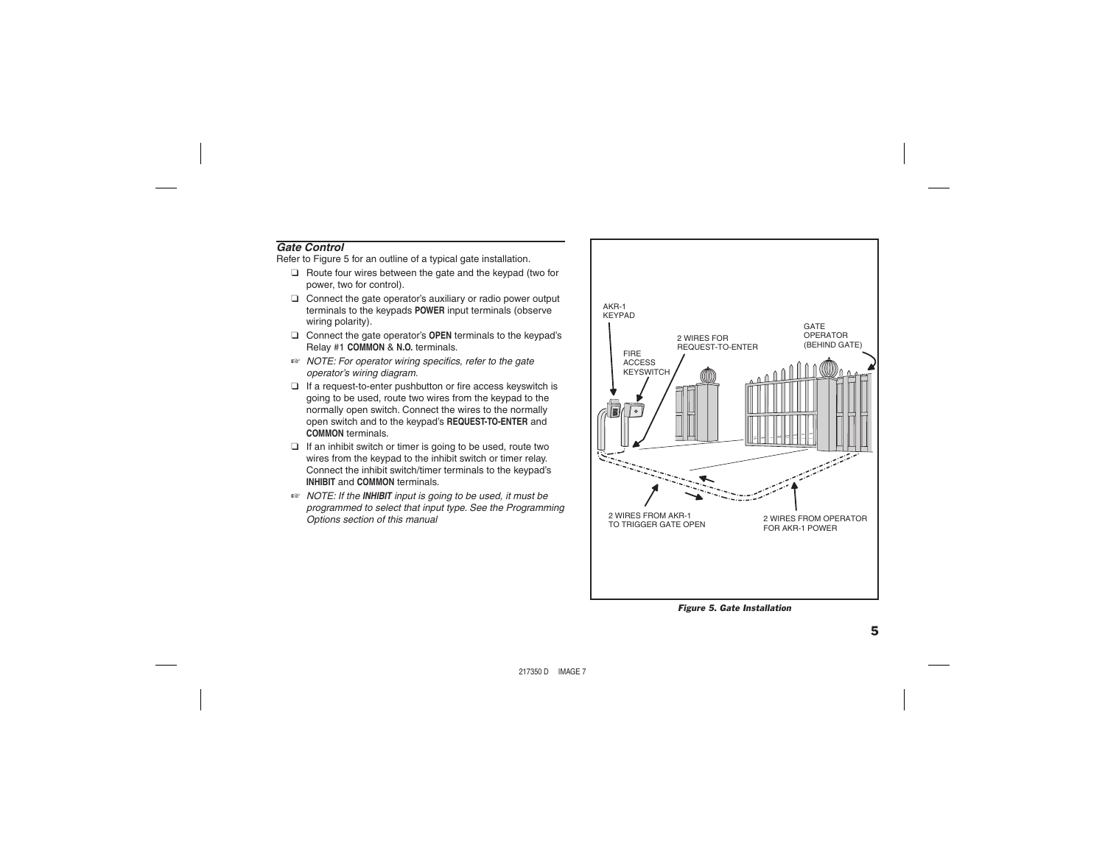# *Gate Control*

Refer to Figure 5 for an outline of a typical gate installation.

- ❑ Route four wires between the gate and the keypad (two for power, two for control).
- ❑ Connect the gate operator's auxiliary or radio power output terminals to the keypads **POWER** input terminals (observe wiring polarity).
- ❑ Connect the gate operator's **OPEN** terminals to the keypad's Relay #1 **COMMON** & **N.O.** terminals.
- ® **NOTE:** For operator wiring specifics, refer to the gate *operator's wiring diagram.*
- $\Box$  If a request-to-enter pushbutton or fire access keyswitch is going to be used, route two wires from the keypad to the normally open switch. Connect the wires to the normally open switch and to the keypad's **REQUEST-TO-ENTER** and **COMMON** terminals.
- ❑ If an inhibit switch or timer is going to be used, route two wires from the keypad to the inhibit switch or timer relay. Connect the inhibit switch/timer terminals to the keypad's **INHIBIT** and **COMMON** terminals.
- ☞ *NOTE: If the INHIBIT input is going to be used, it must be programmed to select that input type. See the Programming Options section of this manual*



*Figure 5. Gate Installation*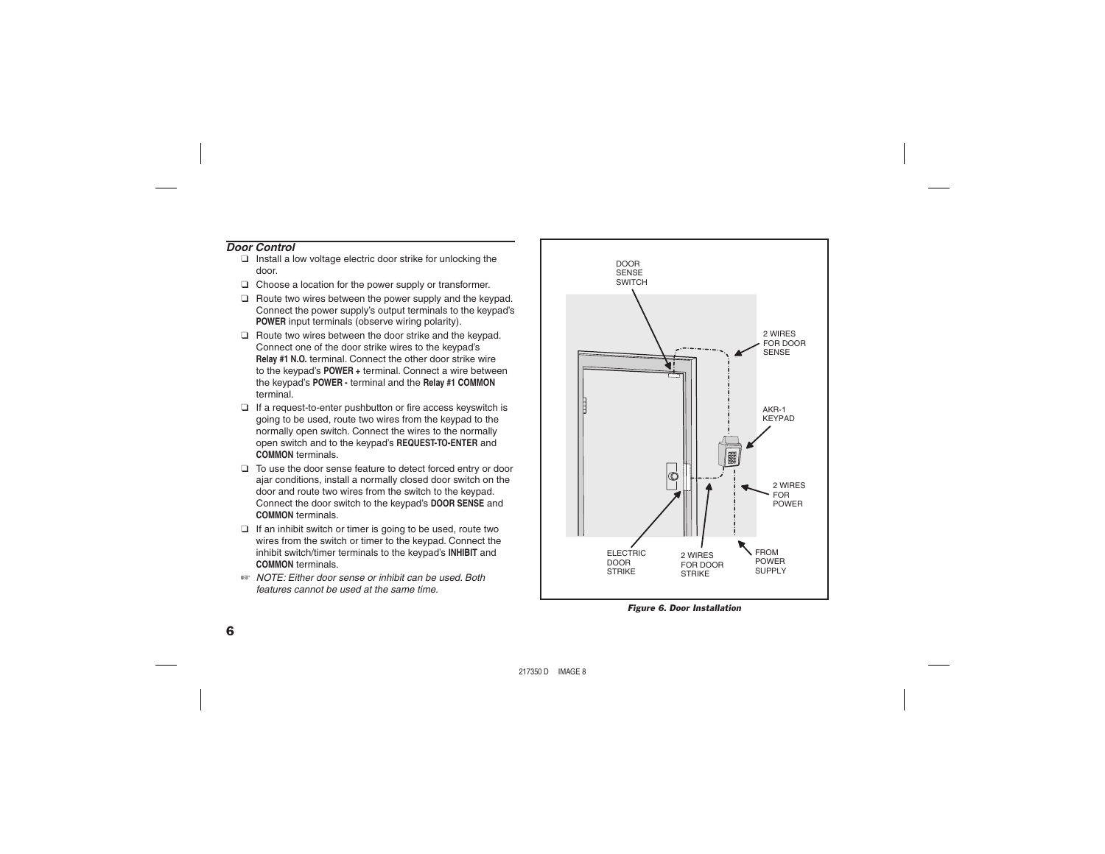# *Door Control*

- ❑ Install a low voltage electric door strike for unlocking the door.
- ❑ Choose a location for the power supply or transformer.
- ❑ Route two wires between the power supply and the keypad. Connect the power supply's output terminals to the keypad's **POWER** input terminals (observe wiring polarity).
- ❑ Route two wires between the door strike and the keypad. Connect one of the door strike wires to the keypad's **Relay #1 N.O.** terminal. Connect the other door strike wire to the keypad's **POWER +** terminal. Connect a wire between the keypad's **POWER -** terminal and the **Relay #1 COMMON** terminal.
- □ If a request-to-enter pushbutton or fire access keyswitch is going to be used, route two wires from the keypad to the normally open switch. Connect the wires to the normally open switch and to the keypad's **REQUEST-TO-ENTER** and **COMMON** terminals.
- ❑ To use the door sense feature to detect forced entry or door ajar conditions, install a normally closed door switch on the door and route two wires from the switch to the keypad. Connect the door switch to the keypad's **DOOR SENSE** and **COMMON** terminals.
- ❑ If an inhibit switch or timer is going to be used, route two wires from the switch or timer to the keypad. Connect the inhibit switch/timer terminals to the keypad's **INHIBIT** and **COMMON** terminals.
- ☞ *NOTE: Either door sense or inhibit can be used. Both features cannot be used at the same time.*



*Figure 6. Door Installation*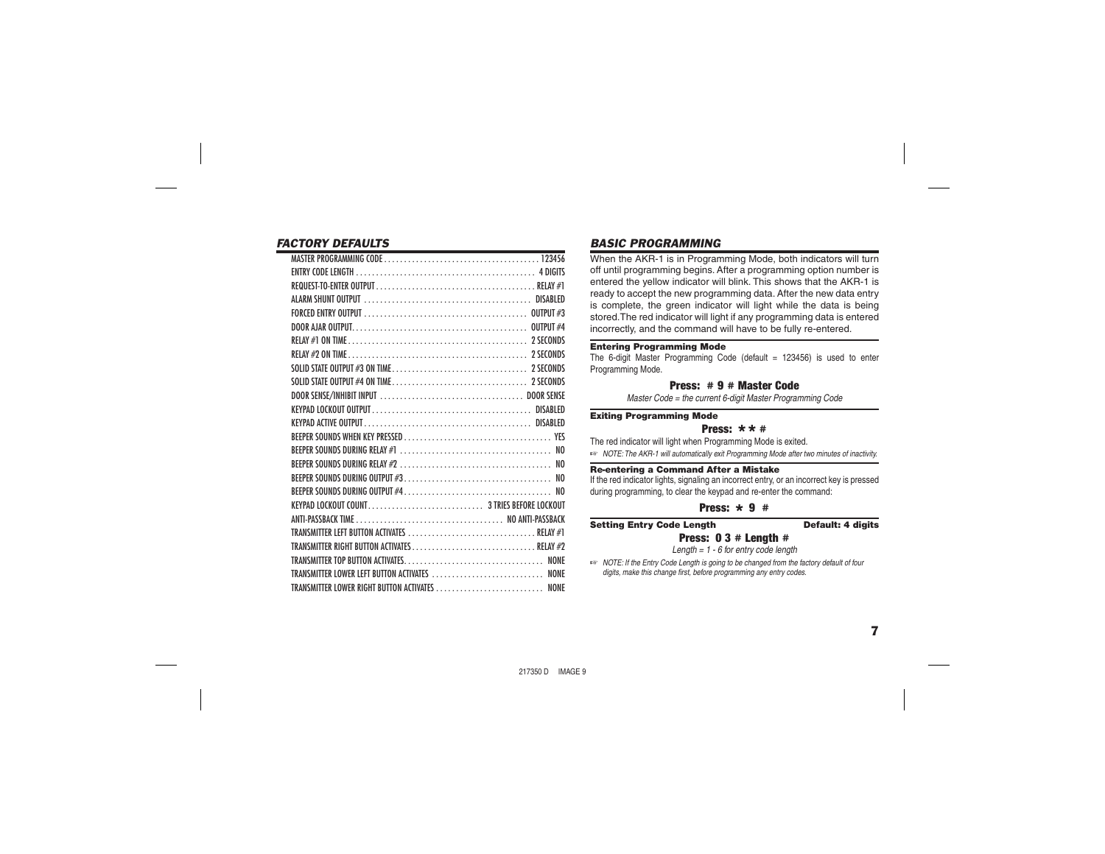# *FACTORY DEFAULTS*

|                                                | the contract of the contract of the contract of the contract of the contract of the contract of the |
|------------------------------------------------|-----------------------------------------------------------------------------------------------------|
|                                                |                                                                                                     |
|                                                |                                                                                                     |
|                                                |                                                                                                     |
|                                                |                                                                                                     |
|                                                |                                                                                                     |
|                                                |                                                                                                     |
|                                                |                                                                                                     |
|                                                |                                                                                                     |
|                                                |                                                                                                     |
|                                                |                                                                                                     |
|                                                |                                                                                                     |
|                                                |                                                                                                     |
|                                                |                                                                                                     |
|                                                |                                                                                                     |
|                                                |                                                                                                     |
|                                                |                                                                                                     |
|                                                |                                                                                                     |
|                                                |                                                                                                     |
|                                                |                                                                                                     |
|                                                |                                                                                                     |
| TRANSMITTER LEFT BUTTON ACTIVATES  RELAY #1    |                                                                                                     |
|                                                |                                                                                                     |
|                                                |                                                                                                     |
| TRANSMITTER LOWER LEFT BUTTON ACTIVATES  NONE  |                                                                                                     |
| TRANSMITTER LOWER RIGHT BUTTON ACTIVATES  NONE |                                                                                                     |
|                                                |                                                                                                     |

# *BASIC PROGRAMMING*

When the AKR-1 is in Programming Mode, both indicators will turn off until programming begins. After a programming option number is entered the yellow indicator will blink. This shows that the AKR-1 is ready to accept the new programming data. After the new data entry is complete, the green indicator will light while the data is being stored.The red indicator will light if any programming data is entered incorrectly, and the command will have to be fully re-entered.

#### Entering Programming Mode

The 6-digit Master Programming Code (default  $= 123456$ ) is used to enter Programming Mode.

#### Press: # 9 # Master Code

*Master Code = the current 6-digit Master Programming Code*

Exiting Programming Mode

#### Press:  $\star \star \#$

The red indicator will light when Programming Mode is exited.

☞ *NOTE: The AKR-1 will automatically exit Programming Mode after two minutes of inactivity.*

#### Re-entering a Command After a Mistake

If the red indicator lights, signaling an incorrect entry, or an incorrect key is pressed during programming, to clear the keypad and re-enter the command:

# Press:  $\star$  9 #

#### Setting Entry Code Length Default: 4 digits Press: 0 3 # Length #

*Length = 1 - 6 for entry code length*

☞ *NOTE: If the Entry Code Length is going to be changed from the factory default of four*  digits, make this change first, before programming any entry codes.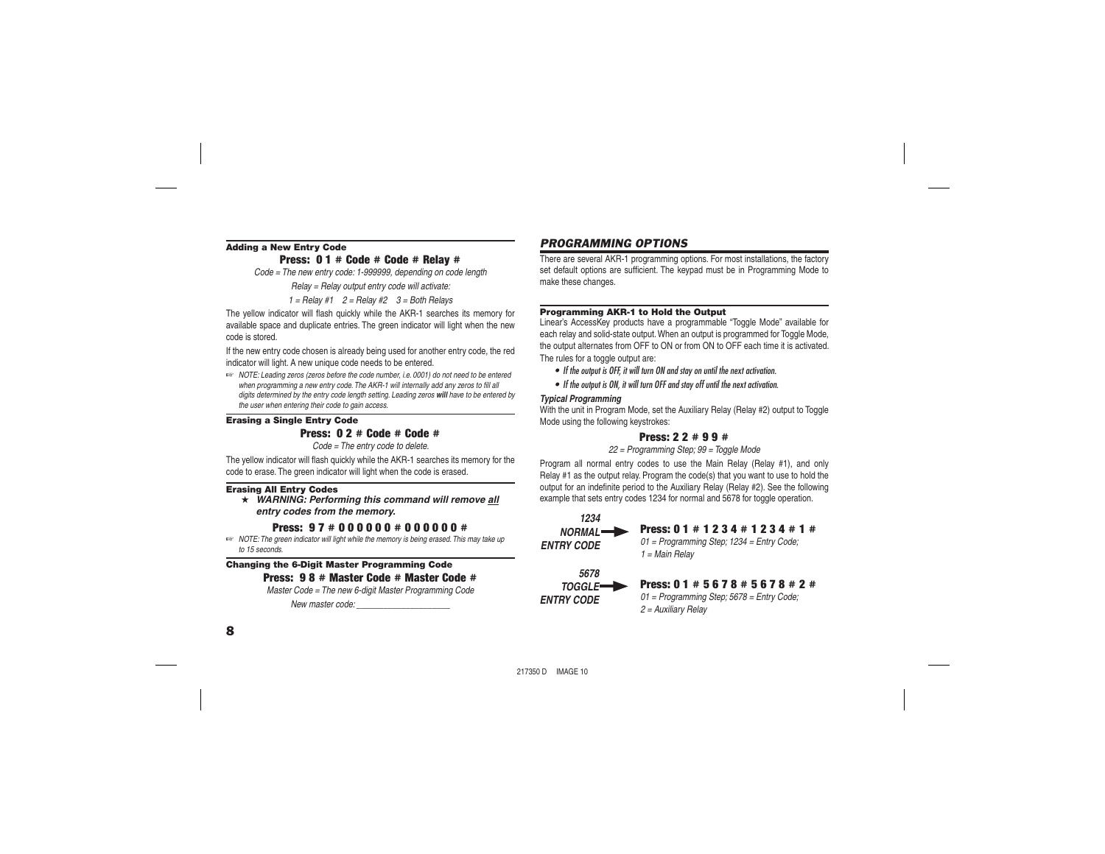### Adding a New Entry Code

Press: 0 1 # Code # Code # Relay #

*Code = The new entry code: 1-999999, depending on code length*

*Relay = Relay output entry code will activate:*

*1 = Relay #1 2 = Relay #2 3 = Both Relays*

The yellow indicator will flash quickly while the AKR-1 searches its memory for available space and duplicate entries. The green indicator will light when the new code is stored.

If the new entry code chosen is already being used for another entry code, the red indicator will light. A new unique code needs to be entered.

☞ *NOTE: Leading zeros (zeros before the code number, i.e. 0001) do not need to be entered*  when programming a new entry code. The AKR-1 will internally add any zeros to fill all *digits determined by the entry code length setting. Leading zeros will have to be entered by the user when entering their code to gain access.*

#### Erasing a Single Entry Code

# Press: 0 2 # Code # Code #

*Code = The entry code to delete.*

The yellow indicator will flash quickly while the AKR-1 searches its memory for the code to erase. The green indicator will light when the code is erased.

#### Erasing All Entry Codes

★ *WARNING: Performing this command will remove all entry codes from the memory.*

# Press: 9 7 # 0 0 0 0 0 0 # 0 0 0 0 0 0 #

☞ *NOTE: The green indicator will light while the memory is being erased. This may take up to 15 seconds.*

#### Changing the 6-Digit Master Programming Code Press: 9 8 # Master Code # Master Code #

*Master Code = The new 6-digit Master Programming Code*

*New master code: \_\_\_\_\_\_\_\_\_\_\_\_\_\_\_\_\_\_\_\_\_*

# *PROGRAMMING OPTIONS*

There are several AKR-1 programming options. For most installations, the factory set default options are sufficient. The keypad must be in Programming Mode to make these changes.

#### Programming AKR-1 to Hold the Output

Linear's AccessKey products have a programmable "Toggle Mode" available for each relay and solid-state output. When an output is programmed for Toggle Mode the output alternates from OFF to ON or from ON to OFF each time it is activated. The rules for a toggle output are:

- *If the output is OFF, it will turn ON and stay on until the next activation.*
- *If the output is ON, it will turn OFF and stay off until the next activation.*

#### *Typical Programming*

*ENTRY CODE*

With the unit in Program Mode, set the Auxiliary Relay (Relay #2) output to Toggle Mode using the following keystrokes:

# Press: 2 2 # 9 9 #

#### *22 = Programming Step; 99 = Toggle Mode*

Program all normal entry codes to use the Main Relay (Relay #1), and only Relay #1 as the output relay. Program the code(s) that you want to use to hold the output for an indefinite period to the Auxiliary Relay (Relay #2). See the following example that sets entry codes 1234 for normal and 5678 for toggle operation.

#### Press: 0 1 # 1 2 3 4 # 1 2 3 4 # 1 #*01 = Programming Step; 1234 = Entry Code; 1 = Main Relay* Press: 0 1 # 5 6 7 8 # 5 6 7 8 # 2 #*5678TOGGLE1234NORMALENTRY CODE*

*01 = Programming Step; 5678 = Entry Code; 2 = Auxiliary Relay*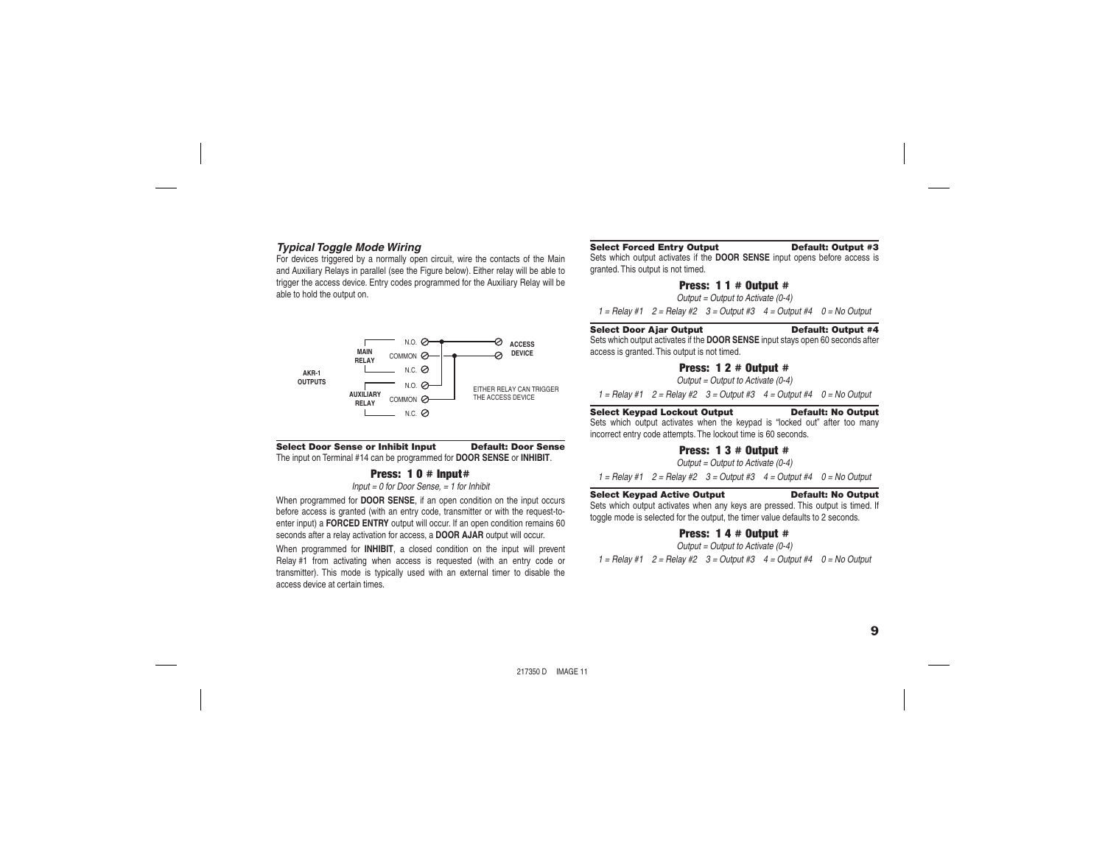### *Typical Toggle Mode Wiring*

For devices triggered by a normally open circuit, wire the contacts of the Main and Auxiliary Relays in parallel (see the Figure below). Either relay will be able to trigger the access device. Entry codes programmed for the Auxiliary Relay will be able to hold the output on.



#### Select Door Sense or Inhibit Input Default: Door Sense

The input on Terminal #14 can be programmed for **DOOR SENSE** or **INHIBIT**.

#### Press: 10 # Input#

*Input = 0 for Door Sense, = 1 for Inhibit*

When programmed for **DOOR SENSE**, if an open condition on the input occurs before access is granted (with an entry code, transmitter or with the request-toenter input) a **FORCED ENTRY** output will occur. If an open condition remains 60 seconds after a relay activation for access, a **DOOR AJAR** output will occur.

When programmed for **INHIBIT**, a closed condition on the input will prevent Relay #1 from activating when access is requested (with an entry code or transmitter). This mode is typically used with an external timer to disable the access device at certain times.

#### Select Forced Entry Output Default: Output #3

Sets which output activates if the **DOOR SENSE** input opens before access is granted. This output is not timed.

#### Press:  $11 #$  Output  $#$

*Output = Output to Activate (0-4)*

*1 = Relay #1 2 = Relay #2 3 = Output #3 4 = Output #4 0 = No Output*

#### Select Door Ajar Output Default: Output #4

Sets which output activates if the **DOOR SENSE** input stays open 60 seconds after access is granted. This output is not timed.

#### Press:  $12 #$  Output  $#$

*Output = Output to Activate (0-4)*

*1 = Relay #1 2 = Relay #2 3 = Output #3 4 = Output #4 0 = No Output*

### Select Keypad Lockout Output Default: No Output

Sets which output activates when the keypad is "locked out" after too many incorrect entry code attempts. The lockout time is 60 seconds.

### Press: 1 3 # Output #

*Output = Output to Activate (0-4)*

*1 = Relay #1 2 = Relay #2 3 = Output #3 4 = Output #4 0 = No Output*

#### Select Keypad Active Output Default: No Output

Sets which output activates when any keys are pressed. This output is timed. If toggle mode is selected for the output, the timer value defaults to 2 seconds.

#### Press: 1 4 # Output #

*Output = Output to Activate (0-4)*

*1 = Relay #1 2 = Relay #2 3 = Output #3 4 = Output #4 0 = No Output*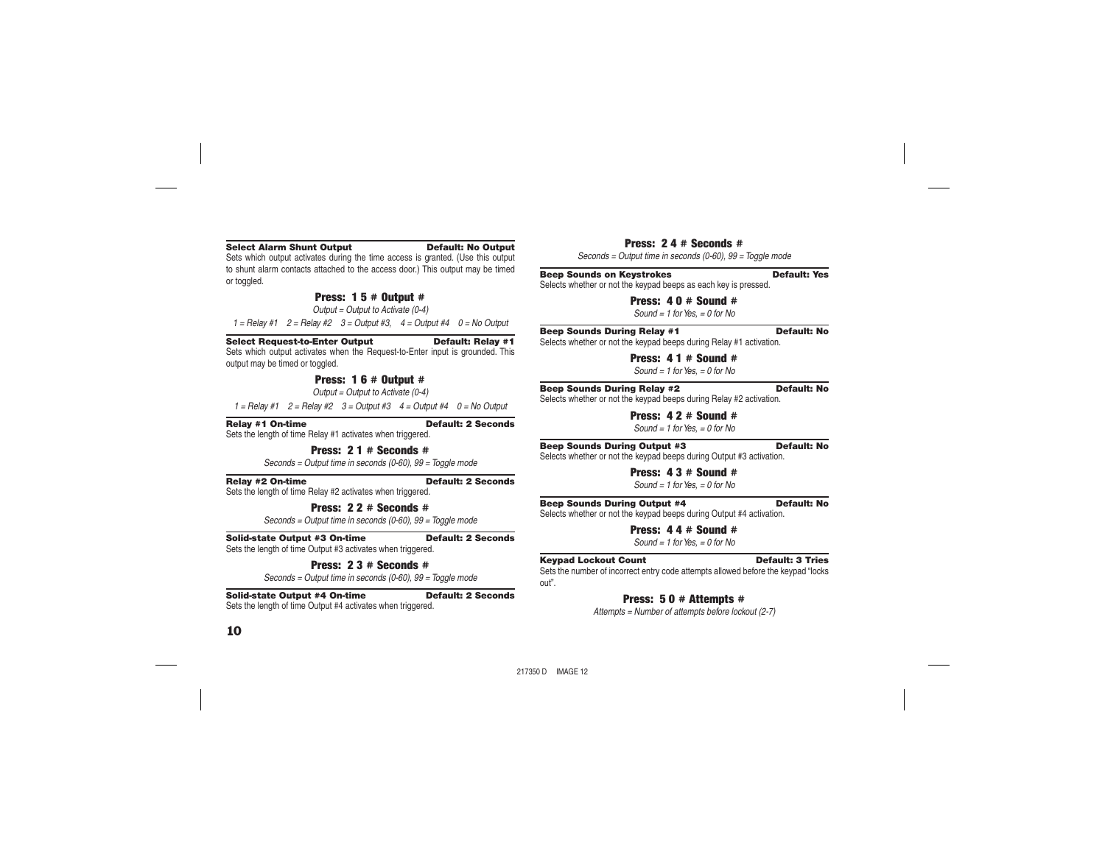#### Select Alarm Shunt Output Default: No Output

Sets which output activates during the time access is granted. (Use this output to shunt alarm contacts attached to the access door.) This output may be timed or toggled.

# Press: 1 5 # Output #

*Output = Output to Activate (0-4)*

*1 = Relay #1 2 = Relay #2 3 = Output #3, 4 = Output #4 0 = No Output*

Select Request-to-Enter Output Default: Relay #1

Sets which output activates when the Request-to-Enter input is grounded. This output may be timed or toggled.

## Press: 1 6 # Output #

*Output = Output to Activate (0-4)*

*1 = Relay #1 2 = Relay #2 3 = Output #3 4 = Output #4 0 = No Output*

Relay #1 On-time Default: 2 Seconds

Sets the length of time Relay #1 activates when triggered.

Press:  $21 \pm$  Seconds  $\pm$ 

*Seconds = Output time in seconds (0-60), 99 = Toggle mode*

Relay #2 On-time Default: 2 Seconds

Sets the length of time Relay #2 activates when triggered.

### Press: 22 # Seconds #

*Seconds = Output time in seconds (0-60), 99 = Toggle mode*

#### Solid-state Output #3 On-time Default: 2 Seconds

Sets the length of time Output #3 activates when triggered.

#### Press: 2 3 # Seconds #

*Seconds = Output time in seconds (0-60), 99 = Toggle mode*

#### Solid-state Output #4 On-time Default: 2 Seconds

Sets the length of time Output #4 activates when triggered.

#### Press:  $2 \, 4 \, 4$  Seconds  $\pm$

*Seconds = Output time in seconds (0-60), 99 = Toggle mode*

#### **Beep Sounds on Keystrokes Default: Yes**

Selects whether or not the keypad beeps as each key is pressed.

Press: 4 0 # Sound #

*Sound = 1 for Yes, = 0 for No*

#### Beep Sounds During Relay #1 Default: No

Selects whether or not the keypad beeps during Relay #1 activation.

Press:  $41 \#$  Sound  $\#$ *Sound = 1 for Yes, = 0 for No*

#### Beep Sounds During Relay #2 Default: No

Selects whether or not the keypad beeps during Relay #2 activation.

Press: 4 2 # Sound #

*Sound = 1 for Yes, = 0 for No*

#### Beep Sounds During Output #3 Default: No

Selects whether or not the keypad beeps during Output #3 activation.

Press: 4 3 # Sound #*Sound = 1 for Yes, = 0 for No*

#### Beep Sounds During Output #4 Default: No

Selects whether or not the keypad beeps during Output #4 activation.

# Press: 4 4 # Sound #

*Sound = 1 for Yes, = 0 for No*

#### **Keypad Lockout Count Count Default: 3 Tries**

Sets the number of incorrect entry code attempts allowed before the keypad "locks out".

# Press: 5 0 # Attempts #

*Attempts = Number of attempts before lockout (2-7)*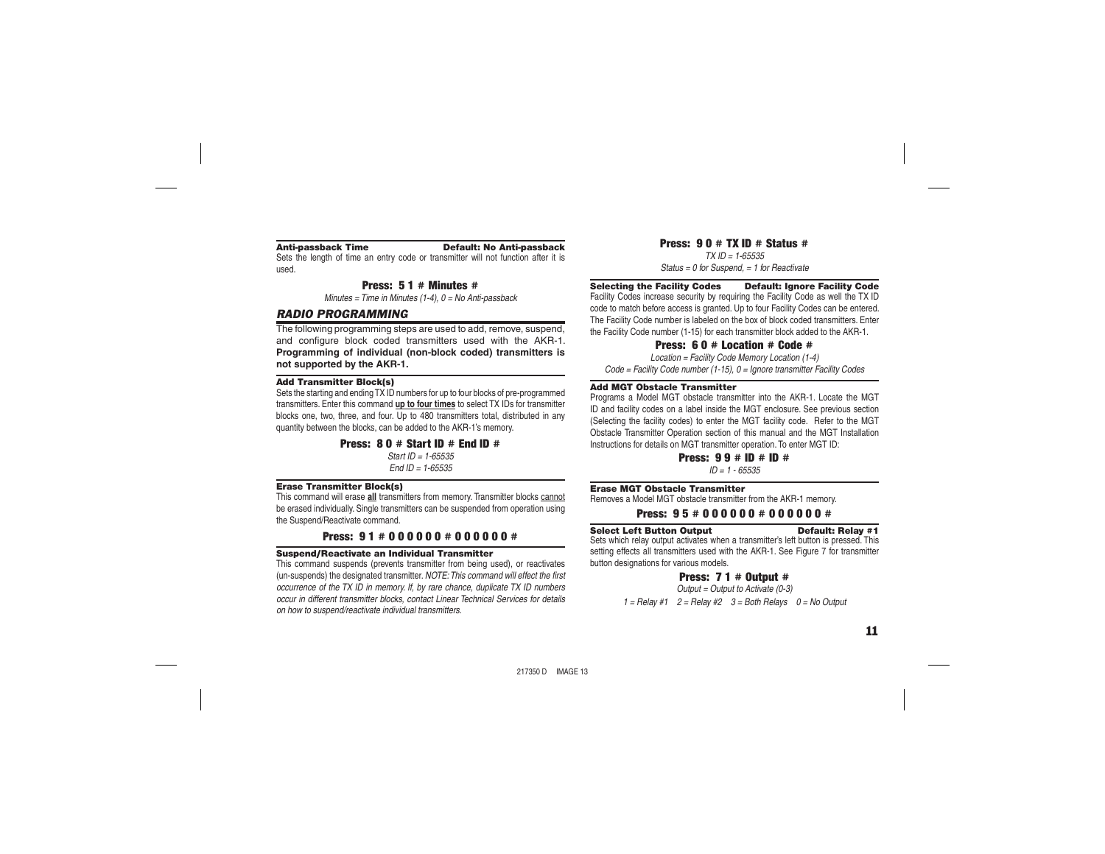#### Anti-passback Time Default: No Anti-passback

Sets the length of time an entry code or transmitter will not function after it is

used.

#### Press: 5 1 # Minutes #

*Minutes = Time in Minutes (1-4), 0 = No Anti-passback*

### *RADIO PROGRAMMING*

The following programming steps are used to add, remove, suspend, and configure block coded transmitters used with the AKR-1. **Programming of individual (non-block coded) transmitters is not supported by the AKR-1.**

#### Add Transmitter Block(s)

Sets the starting and ending TX ID numbers for up to four blocks of pre-programmed transmitters. Enter this command **up to four times** to select TX IDs for transmitter blocks one, two, three, and four. Up to 480 transmitters total, distributed in any quantity between the blocks, can be added to the AKR-1's memory.

#### Press:  $80 \#$  Start ID  $\#$  End ID  $\#$

*Start ID = 1-65535End ID = 1-65535*

#### Erase Transmitter Block(s)

This command will erase **all** transmitters from memory. Transmitter blocks cannot be erased individually. Single transmitters can be suspended from operation using the Suspend/Reactivate command.

# Press: 91 # 000000 # 000000 #

#### Suspend/Reactivate an Individual Transmitter

This command suspends (prevents transmitter from being used), or reactivates (un-suspends) the designated transmitter. *NOTE: This command will effect the first occurrence of the TX ID in memory. If, by rare chance, duplicate TX ID numbers occur in different transmitter blocks, contact Linear Technical Services for details on how to suspend/reactivate individual transmitters.*

Press:  $90 \# TX$  ID  $\#$  Status  $\#$ *TX ID = 1-65535Status = 0 for Suspend, = 1 for Reactivate*

#### Selecting the Facility Codes Default: Ignore Facility Code

Facility Codes increase security by requiring the Facility Code as well the TX ID code to match before access is granted. Up to four Facility Codes can be entered. The Facility Code number is labeled on the box of block coded transmitters. Enter the Facility Code number (1-15) for each transmitter block added to the AKR-1.

#### Press: 6 0 # Location # Code #

*Location = Facility Code Memory Location (1-4) Code = Facility Code number (1-15), 0 = Ignore transmitter Facility Codes*

#### Add MGT Obstacle Transmitter

Programs a Model MGT obstacle transmitter into the AKR-1. Locate the MGT ID and facility codes on a label inside the MGT enclosure. See previous section (Selecting the facility codes) to enter the MGT facility code. Refer to the MGT Obstacle Transmitter Operation section of this manual and the MGT Installation Instructions for details on MGT transmitter operation. To enter MGT ID:

> **Press:**  $9.9 \# 10 \# 10 \#$ *ID = 1 - 65535*

#### Erase MGT Obstacle Transmitter

Removes a Model MGT obstacle transmitter from the AKR-1 memory.

Press: 95 # 000000 # 000000 #

#### Select Left Button Output Default: Relay #1

Sets which relay output activates when a transmitter's left button is pressed. This setting effects all transmitters used with the AKR-1. See Figure 7 for transmitter button designations for various models.

#### Press:  $71 #$  Output  $#$

*Output = Output to Activate (0-3) 1 = Relay #1 2 = Relay #2 3 = Both Relays 0 = No Output*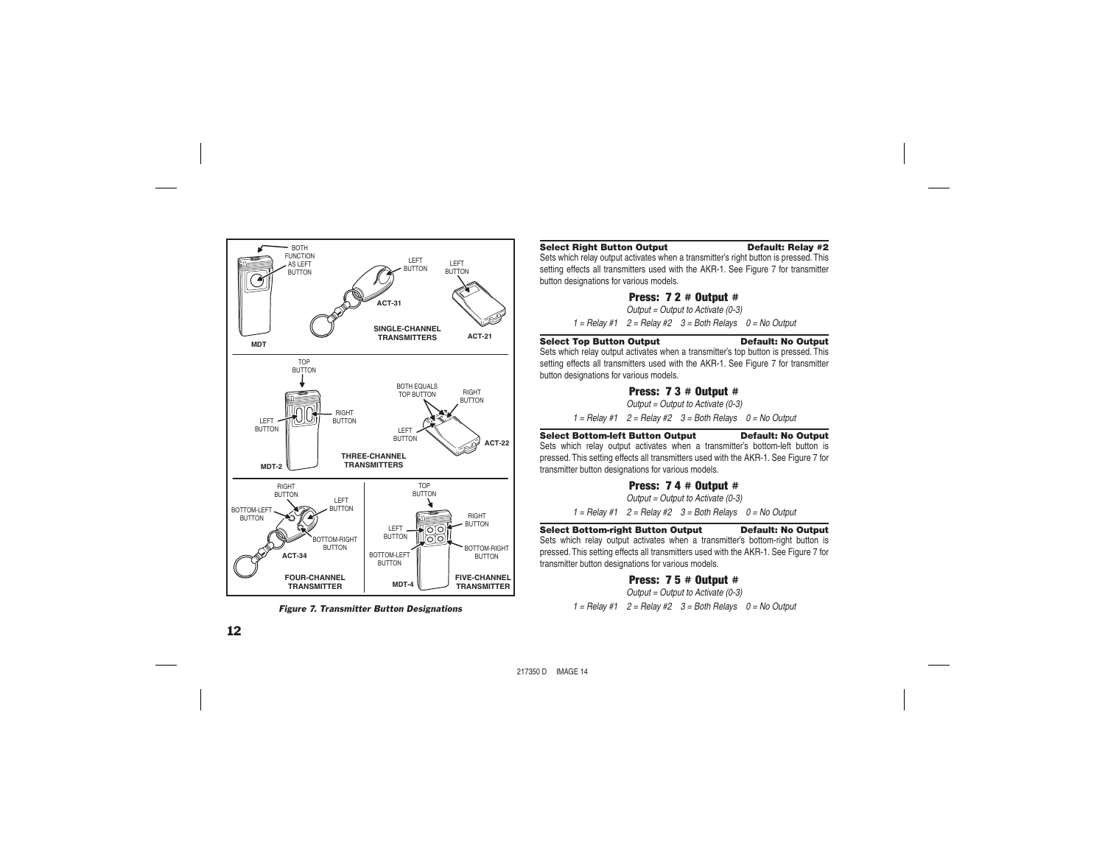

*Figure 7. Transmitter Button Designations*

#### Select Right Button Output Default: Relay #2

Sets which relay output activates when a transmitter's right button is pressed. This setting effects all transmitters used with the AKR-1. See Figure 7 for transmitter button designations for various models.

### Press: 7 2 # Output #

*Output = Output to Activate (0-3)*

*1 = Relay #1 2 = Relay #2 3 = Both Relays 0 = No Output*

#### Select Top Button Output Default: No Output

Sets which relay output activates when a transmitter's top button is pressed. This setting effects all transmitters used with the AKR-1. See Figure 7 for transmitter button designations for various models.

### Press: 7 3 # Output #

*Output = Output to Activate (0-3)*

*1 = Relay #1 2 = Relay #2 3 = Both Relays 0 = No Output*

#### Select Bottom-left Button Output Default: No Output

Sets which relay output activates when a transmitter's bottom-left button is pressed. This setting effects all transmitters used with the AKR-1. See Figure 7 for transmitter button designations for various models.

### Press: 7 4 # Output #

*Output = Output to Activate (0-3)*

*1 = Relay #1 2 = Relay #2 3 = Both Relays 0 = No Output*

#### Select Bottom-right Button Output Default: No Output

Sets which relay output activates when a transmitter's bottom-right button is pressed. This setting effects all transmitters used with the AKR-1. See Figure 7 for transmitter button designations for various models.

Press: 7 5 # Output #

*Output = Output to Activate (0-3)*

*1 = Relay #1 2 = Relay #2 3 = Both Relays 0 = No Output*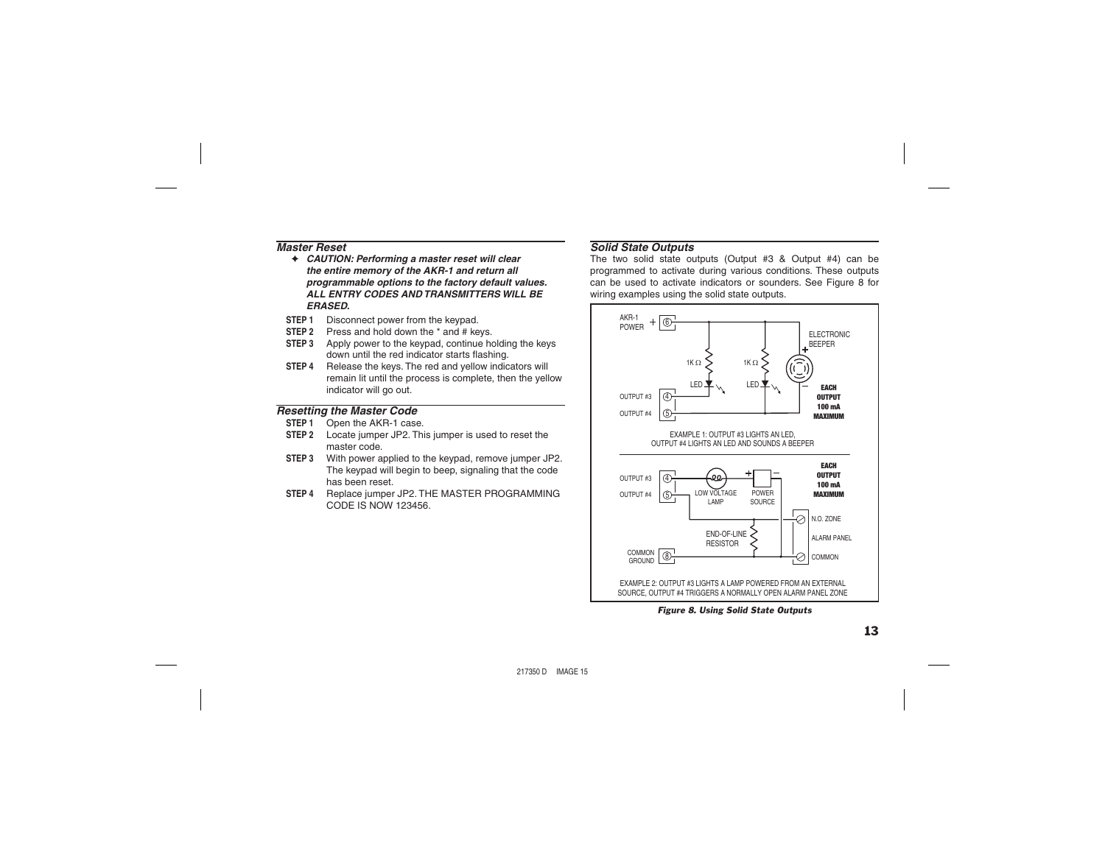### *Master Reset*

- ✦ *CAUTION: Performing a master reset will clear the entire memory of the AKR-1 and return all programmable options to the factory default values. ALL ENTRY CODES AND TRANSMITTERS WILL BE ERASED.*
- **STEP 1** Disconnect power from the keypad.
- **STEP 2** Press and hold down the \* and # keys.
- **STEP 3** Apply power to the keypad, continue holding the keys down until the red indicator starts flashing.
- **STEP 4** Release the keys. The red and yellow indicators will remain lit until the process is complete, then the yellow indicator will go out.

# *Resetting the Master Code*

- **STEP 1** Open the AKR-1 case.
- **STEP 2** Locate jumper JP2. This jumper is used to reset the master code.
- **STEP 3** With power applied to the keypad, remove jumper JP2. The keypad will begin to beep, signaling that the code has been reset.
- **STEP 4** Replace jumper JP2. THE MASTER PROGRAMMING CODE IS NOW 123456.

# *Solid State Outputs*

The two solid state outputs (Output #3 & Output #4) can be programmed to activate during various conditions. These outputs can be used to activate indicators or sounders. See Figure 8 for wiring examples using the solid state outputs.



*Figure 8. Using Solid State Outputs*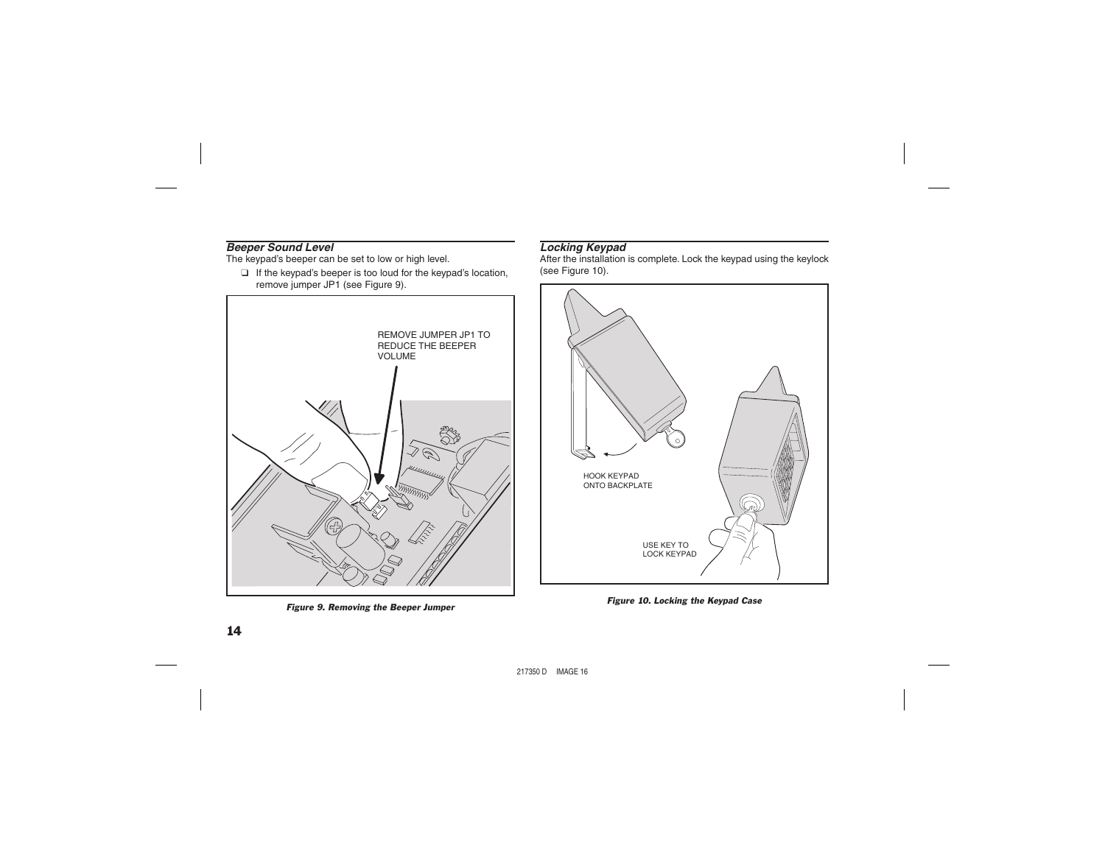# *Beeper Sound Level*

The keypad's beeper can be set to low or high level.

❑ If the keypad's beeper is too loud for the keypad's location, remove jumper JP1 (see Figure 9).



*Figure 9. Removing the Beeper Jumper*

# *Locking Keypad*

After the installation is complete. Lock the keypad using the keylock (see Figure 10).



*Figure 10. Locking the Keypad Case*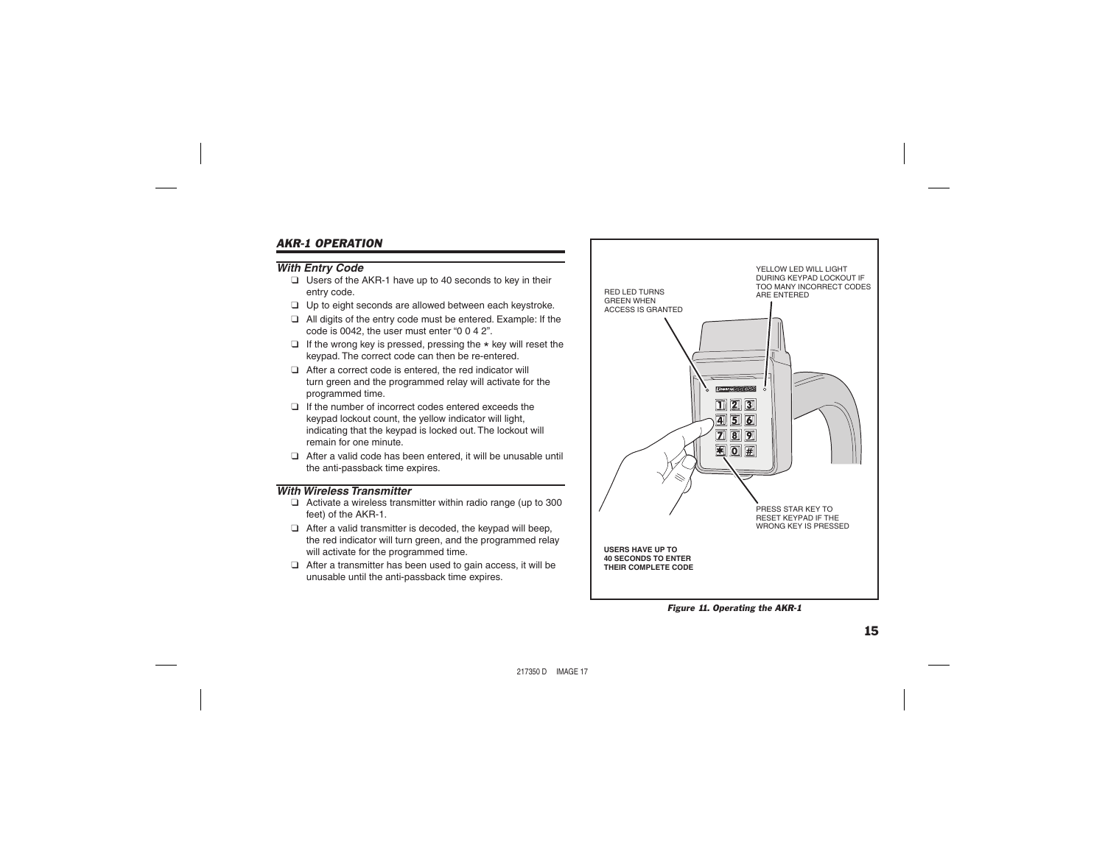# *AKR-1 OPERATION*

# *With Entry Code*

- ❑ Users of the AKR-1 have up to 40 seconds to key in their entry code.
- ❑ Up to eight seconds are allowed between each keystroke.
- ❑ All digits of the entry code must be entered. Example: If the code is  $0.042$ , the user must enter " $0.042$ ".
- ❑ If the wrong key is pressed, pressing the \* key will reset the keypad. The correct code can then be re-entered.
- ❑ After a correct code is entered, the red indicator will turn green and the programmed relay will activate for the programmed time.
- ❑ If the number of incorrect codes entered exceeds the keypad lockout count, the yellow indicator will light, indicating that the keypad is locked out. The lockout will remain for one minute.
- ❑ After a valid code has been entered, it will be unusable until the anti-passback time expires.

# *With Wireless Transmitter*

- ❑ Activate a wireless transmitter within radio range (up to 300 feet) of the AKR-1.
- ❑ After a valid transmitter is decoded, the keypad will beep, the red indicator will turn green, and the programmed relay will activate for the programmed time.
- ❑ After a transmitter has been used to gain access, it will be unusable until the anti-passback time expires.



*Figure 11. Operating the AKR-1*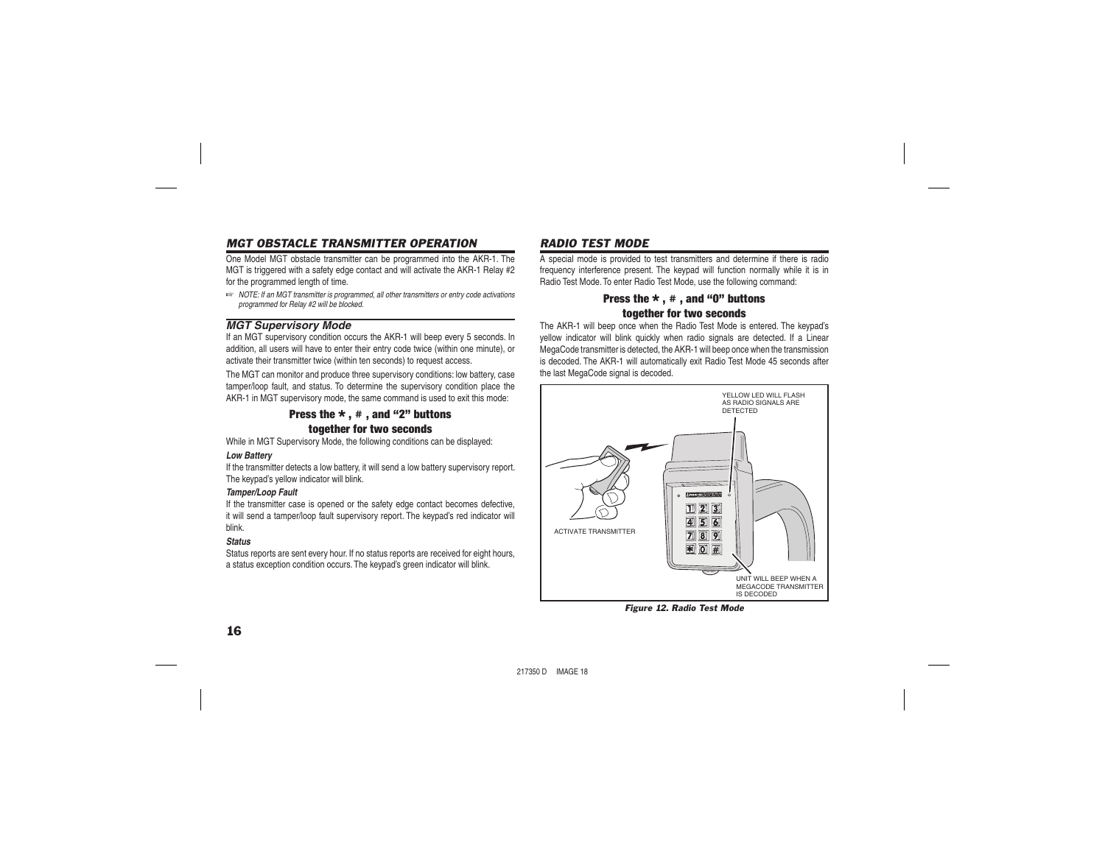# *MGT OBSTACLE TRANSMITTER OPERATION*

One Model MGT obstacle transmitter can be programmed into the AKR-1. The MGT is triggered with a safety edge contact and will activate the AKR-1 Relay #2 for the programmed length of time.

☞ *NOTE: If an MGT transmitter is programmed, all other transmitters or entry code activations programmed for Relay #2 will be blocked.*

# *MGT Supervisory Mode*

If an MGT supervisory condition occurs the AKR-1 will beep every 5 seconds. In addition, all users will have to enter their entry code twice (within one minute), or activate their transmitter twice (within ten seconds) to request access.

The MGT can monitor and produce three supervisory conditions: low battery, case tamper/loop fault, and status. To determine the supervisory condition place the AKR-1 in MGT supervisory mode, the same command is used to exit this mode:

## Press the  $\star$  ,  $\#$  , and "2" buttons together for two seconds

While in MGT Supervisory Mode, the following conditions can be displayed:

#### *Low Battery*

If the transmitter detects a low battery, it will send a low battery supervisory report. The keypad's yellow indicator will blink.

#### *Tamper/Loop Fault*

If the transmitter case is opened or the safety edge contact becomes defective, it will send a tamper/loop fault supervisory report. The keypad's red indicator will blink.

### *Status*

Status reports are sent every hour. If no status reports are received for eight hours, a status exception condition occurs. The keypad's green indicator will blink.

# *RADIO TEST MODE*

A special mode is provided to test transmitters and determine if there is radio frequency interference present. The keypad will function normally while it is in Radio Test Mode. To enter Radio Test Mode, use the following command:

# Press the  $\star$ ,  $\#$ , and "0" buttons together for two seconds

The AKR-1 will beep once when the Radio Test Mode is entered. The keypad's yellow indicator will blink quickly when radio signals are detected. If a Linear MegaCode transmitter is detected, the AKR-1 will beep once when the transmission is decoded. The AKR-1 will automatically exit Radio Test Mode 45 seconds after the last MegaCode signal is decoded.



*Figure 12. Radio Test Mode*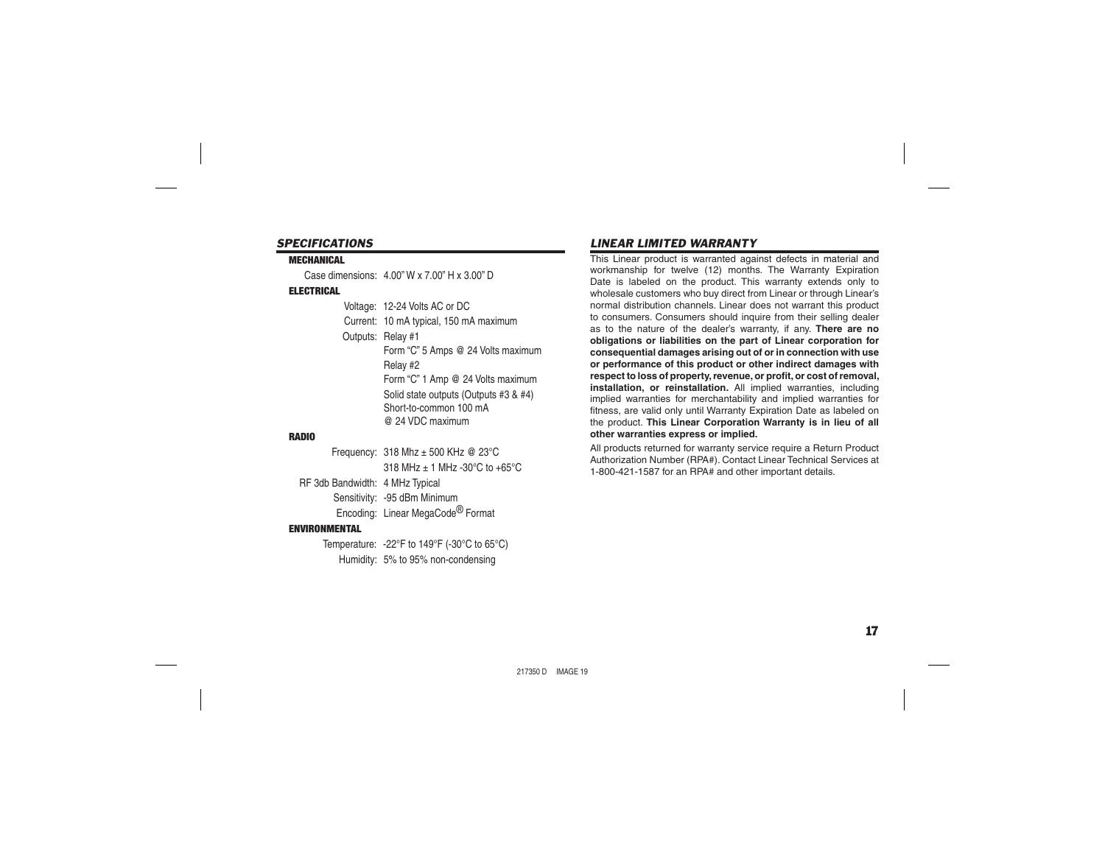#### *SPECIFICATIONS*

#### **MECHANICAL**

Case dimensions: 4.00" W x 7.00" H x 3.00" D

#### ELECTRICAL

 Voltage: 12-24 Volts AC or DC Current: 10 mA typical, 150 mA maximum Outputs: Relay #1 Form "C" 5 Amps @ 24 Volts maximum Relay #2 Form "C" 1 Amp @ 24 Volts maximum Solid state outputs (Outputs #3 & #4) Short-to-common 100 mA @ 24 VDC maximum

#### RADIO

 Frequency: 318 Mhz ± 500 KHz @ 23°C  $318 \text{ MHz} + 1 \text{ MHz} - 30^{\circ} \text{C}$  to  $+65^{\circ} \text{C}$  RF 3db Bandwidth: 4 MHz Typical Sensitivity: -95 dBm Minimum

Encoding: Linear MegaCode® Format

#### ENVIRONMENTAL

 Temperature: -22°F to 149°F (-30°C to 65°C) Humidity: 5% to 95% non-condensing

# *LINEAR LIMITED WARRANTY*

This Linear product is warranted against defects in material and workmanship for twelve (12) months. The Warranty Expiration Date is labeled on the product. This warranty extends only to wholesale customers who buy direct from Linear or through Linear's normal distribution channels. Linear does not warrant this product to consumers. Consumers should inquire from their selling dealer as to the nature of the dealer's warranty, if any. **There are no obligations or liabilities on the part of Linear corporation for consequential damages arising out of or in connection with use or performance of this product or other indirect damages with**  respect to loss of property, revenue, or profit, or cost of removal, **installation, or reinstallation.** All implied warranties, including implied warranties for merchantability and implied warranties for fitness, are valid only until Warranty Expiration Date as labeled on the product. **This Linear Corporation Warranty is in lieu of all other warranties express or implied.**

All products returned for warranty service require a Return Product Authorization Number (RPA#). Contact Linear Technical Services at 1-800-421-1587 for an RPA# and other important details.